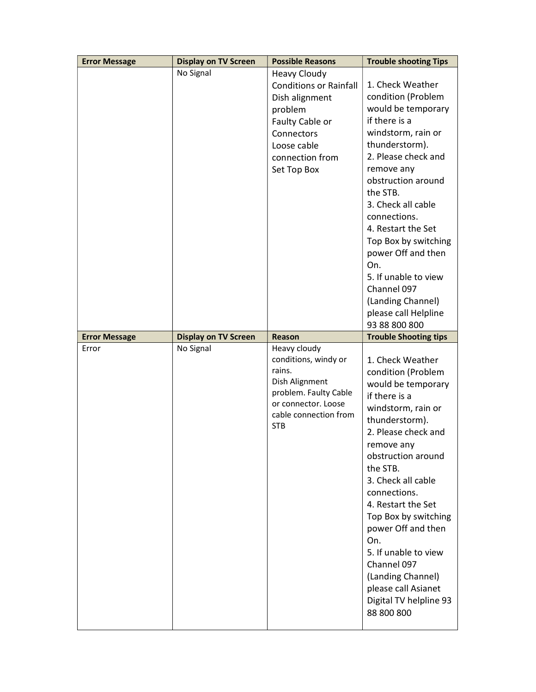| <b>Error Message</b> | <b>Display on TV Screen</b> | <b>Possible Reasons</b>                                                                                                                                             | <b>Trouble shooting Tips</b>                                                                                                                                                                                                                                                                                                                                                                                                             |
|----------------------|-----------------------------|---------------------------------------------------------------------------------------------------------------------------------------------------------------------|------------------------------------------------------------------------------------------------------------------------------------------------------------------------------------------------------------------------------------------------------------------------------------------------------------------------------------------------------------------------------------------------------------------------------------------|
|                      | No Signal                   | <b>Heavy Cloudy</b><br><b>Conditions or Rainfall</b><br>Dish alignment<br>problem<br>Faulty Cable or<br>Connectors<br>Loose cable<br>connection from<br>Set Top Box | 1. Check Weather<br>condition (Problem<br>would be temporary<br>if there is a<br>windstorm, rain or<br>thunderstorm).<br>2. Please check and<br>remove any<br>obstruction around<br>the STB.<br>3. Check all cable<br>connections.<br>4. Restart the Set<br>Top Box by switching<br>power Off and then<br>On.<br>5. If unable to view<br>Channel 097<br>(Landing Channel)<br>please call Helpline<br>93 88 800 800                       |
| <b>Error Message</b> | <b>Display on TV Screen</b> | Reason                                                                                                                                                              | <b>Trouble Shooting tips</b>                                                                                                                                                                                                                                                                                                                                                                                                             |
| Error                | No Signal                   | Heavy cloudy<br>conditions, windy or<br>rains.<br>Dish Alignment<br>problem. Faulty Cable<br>or connector. Loose<br>cable connection from<br><b>STB</b>             | 1. Check Weather<br>condition (Problem<br>would be temporary<br>if there is a<br>windstorm, rain or<br>thunderstorm).<br>2. Please check and<br>remove any<br>obstruction around<br>the STB.<br>3. Check all cable<br>connections.<br>4. Restart the Set<br>Top Box by switching<br>power Off and then<br>On.<br>5. If unable to view<br>Channel 097<br>(Landing Channel)<br>please call Asianet<br>Digital TV helpline 93<br>88 800 800 |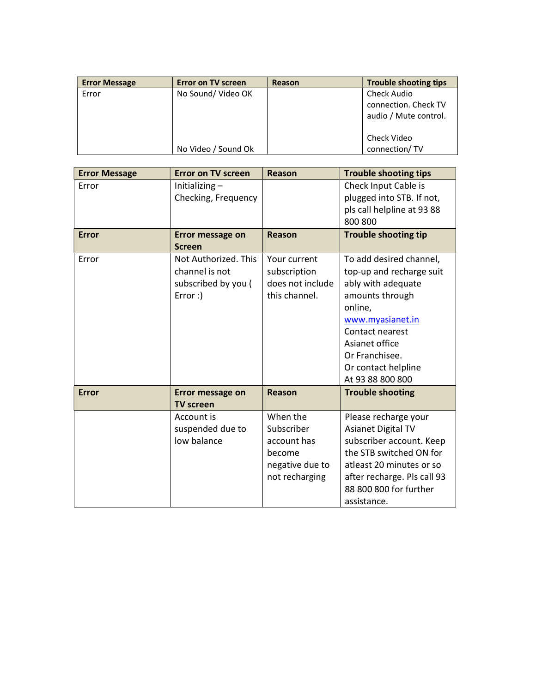| <b>Error Message</b> | <b>Error on TV screen</b> | Reason | <b>Trouble shooting tips</b>                                 |
|----------------------|---------------------------|--------|--------------------------------------------------------------|
| Error                | No Sound/Video OK         |        | Check Audio<br>connection. Check TV<br>audio / Mute control. |
|                      | No Video / Sound Ok       |        | Check Video<br>connection/TV                                 |

| <b>Error Message</b> | <b>Error on TV screen</b>                                                | <b>Reason</b>                                                                        | <b>Trouble shooting tips</b>                                                                                                                                                                                                  |
|----------------------|--------------------------------------------------------------------------|--------------------------------------------------------------------------------------|-------------------------------------------------------------------------------------------------------------------------------------------------------------------------------------------------------------------------------|
| Error                | Initializing-<br>Checking, Frequency                                     |                                                                                      | Check Input Cable is<br>plugged into STB. If not,<br>pls call helpline at 93 88<br>800 800                                                                                                                                    |
| <b>Error</b>         | Error message on<br><b>Screen</b>                                        | <b>Reason</b>                                                                        | <b>Trouble shooting tip</b>                                                                                                                                                                                                   |
| Error                | Not Authorized. This<br>channel is not<br>subscribed by you (<br>Error:) | Your current<br>subscription<br>does not include<br>this channel.                    | To add desired channel,<br>top-up and recharge suit<br>ably with adequate<br>amounts through<br>online,<br>www.myasianet.in<br>Contact nearest<br>Asianet office<br>Or Franchisee.<br>Or contact helpline<br>At 93 88 800 800 |
| <b>Error</b>         | Error message on<br><b>TV screen</b>                                     | <b>Reason</b>                                                                        | <b>Trouble shooting</b>                                                                                                                                                                                                       |
|                      | Account is<br>suspended due to<br>low balance                            | When the<br>Subscriber<br>account has<br>become<br>negative due to<br>not recharging | Please recharge your<br><b>Asianet Digital TV</b><br>subscriber account. Keep<br>the STB switched ON for<br>atleast 20 minutes or so<br>after recharge. Pls call 93<br>88 800 800 for further<br>assistance.                  |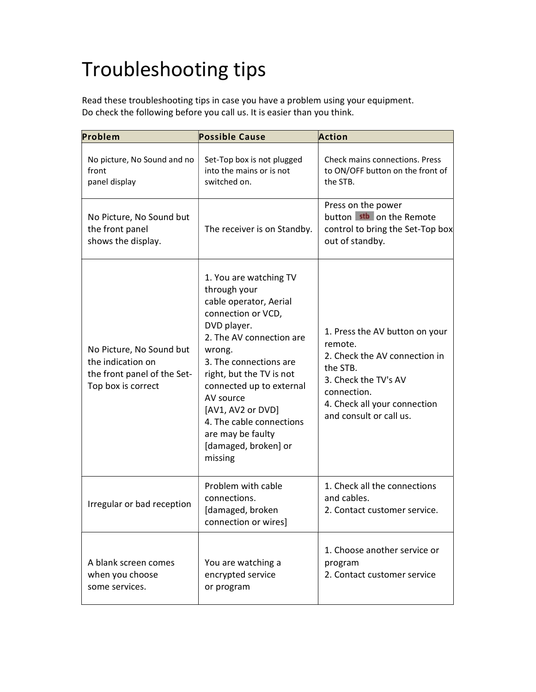## Troubleshooting tips

Read these troubleshooting tips in case you have a problem using your equipment. Do check the following before you call us. It is easier than you think.

| Problem                                                                                            | <b>Possible Cause</b>                                                                                                                                                                                                                                                                                                                               | Action                                                                                                                                                                                   |
|----------------------------------------------------------------------------------------------------|-----------------------------------------------------------------------------------------------------------------------------------------------------------------------------------------------------------------------------------------------------------------------------------------------------------------------------------------------------|------------------------------------------------------------------------------------------------------------------------------------------------------------------------------------------|
| No picture, No Sound and no<br>front<br>panel display                                              | Set-Top box is not plugged<br>into the mains or is not<br>switched on.                                                                                                                                                                                                                                                                              | Check mains connections. Press<br>to ON/OFF button on the front of<br>the STB.                                                                                                           |
| No Picture, No Sound but<br>the front panel<br>shows the display.                                  | The receiver is on Standby.                                                                                                                                                                                                                                                                                                                         | Press on the power<br>button stb on the Remote<br>control to bring the Set-Top box<br>out of standby.                                                                                    |
| No Picture, No Sound but<br>the indication on<br>the front panel of the Set-<br>Top box is correct | 1. You are watching TV<br>through your<br>cable operator, Aerial<br>connection or VCD,<br>DVD player.<br>2. The AV connection are<br>wrong.<br>3. The connections are<br>right, but the TV is not<br>connected up to external<br>AV source<br>[AV1, AV2 or DVD]<br>4. The cable connections<br>are may be faulty<br>[damaged, broken] or<br>missing | 1. Press the AV button on your<br>remote.<br>2. Check the AV connection in<br>the STB.<br>3. Check the TV's AV<br>connection.<br>4. Check all your connection<br>and consult or call us. |
| Irregular or bad reception                                                                         | Problem with cable<br>connections.<br>[damaged, broken<br>connection or wires]                                                                                                                                                                                                                                                                      | 1. Check all the connections<br>and cables.<br>2. Contact customer service.                                                                                                              |
| A blank screen comes<br>when you choose<br>some services.                                          | You are watching a<br>encrypted service<br>or program                                                                                                                                                                                                                                                                                               | 1. Choose another service or<br>program<br>2. Contact customer service                                                                                                                   |